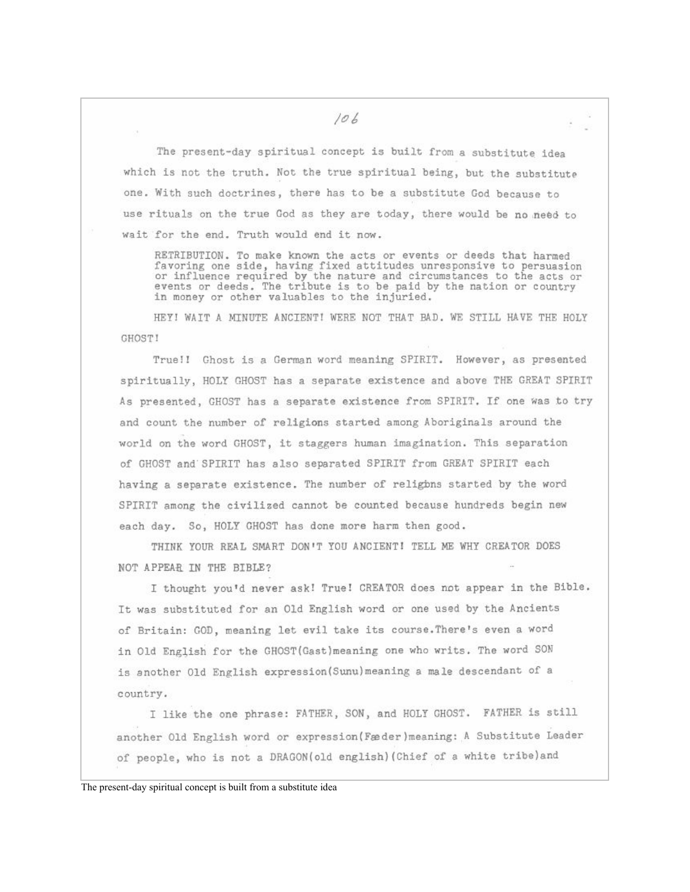The present-day spiritual concept is built from a substitute idea which is not the truth. Not the true spiritual being, but the substitute one. With such doctrines, there has to be a substitute God because to use rituals on the true God as they are today, there would be no need to wait for the end. Truth would end it now.

RETRIBUTION. To make known the acts or events or deeds that harmed favoring one side, having fixed attitudes unresponsive to persuasion or influence required by the nature and circumstances to the acts or events or deeds. The tribute is to be paid by the nation or country in money or other valuables to the injuried.

HEY! WAIT A MINUTE ANCIENT! WERE NOT THAT BAD. WE STILL HAVE THE HOLY **GHOSTI** 

True!! Ghost is a German word meaning SPIRIT. However, as presented spiritually, HOLY GHOST has a separate existence and above THE GREAT SPIRIT As presented, GHOST has a separate existence from SPIRIT. If one was to try and count the number of religions started among Aboriginals around the world on the word GHOST, it staggers human imagination. This separation of GHOST and SPIRIT has also separated SPIRIT from GREAT SPIRIT each having a separate existence. The number of religions started by the word SPIRIT among the civilized cannot be counted because hundreds begin new each day. So, HOLY CHOST has done more harm then good.

THINK YOUR REAL SMART DON'T YOU ANCIENT! TELL ME WHY CREATOR DOES NOT APPEAR IN THE BIBLE?

I thought you'd never ask! True! CREATOR does not appear in the Bible. It was substituted for an Old English word or one used by the Ancients of Britain: GOD, meaning let evil take its course. There's even a word in Old English for the GHOST (Gast) meaning one who writs. The word SON is another Old English expression (Sunu) meaning a male descendant of a country.

I like the one phrase: FATHER, SON, and HOLY GHOST. FATHER is still another Old English word or expression (Fæder) meaning: A Substitute Leader of people, who is not a DRAGON(old english) (Chief of a white tribe) and

The present-day spiritual concept is built from a substitute idea

106